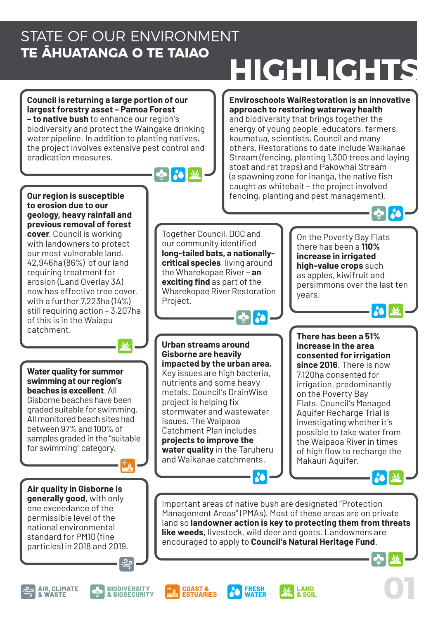### STATE OF OUR ENVIRONMENT **TE ĀHUATANGA O TE TAIAO**

# **HIGHLIGHTS**

**Council is returning a large portion of our largest forestry asset – Pamoa Forest** 

**– to native bush** to enhance our region's biodiversity and protect the Waingake drinking water pipeline. In addition to planting natives, the project involves extensive pest control and eradication measures.

 $\mathbf{M}$ 



Project.

#### **Enviroschools WaiRestoration is an innovative approach to restoring waterway health**

and biodiversity that brings together the energy of young people, educators, farmers, kaumatua, scientists, Council and many others. Restorations to date include Waikanae Stream (fencing, planting 1,300 trees and laying stoat and rat traps) and Pakowhai Stream (a spawning zone for inanga, the native fish caught as whitebait – the project involved fencing, planting and pest management).

years.

**Our region is susceptible to erosion due to our geology, heavy rainfall and previous removal of forest cover**. Council is working with landowners to protect our most vulnerable land. 42,946ha (86%) of our land requiring treatment for erosion (Land Overlay 3A) now has effective tree cover, with a further 7,223ha (14%) still requiring action – 3,207ha of this is in the Waiapu catchment.

**Water quality for summer swimming at our region's beaches is excellent**. All Gisborne beaches have been graded suitable for swimming. All monitored beach sites had between 97% and 100% of samples graded in the "suitable for swimming" category.

**Air quality in Gisborne is generally good**, with only one exceedance of the permissible level of the national environmental standard for PM10 (fine particles) in 2018 and 2019.

 $\left| \cdot \right|$ On the Poverty Bay Flats there has been a **110% increase in irrigated high-value crops** such as apples, kiwifruit and persimmons over the last ten

**Urban streams around Gisborne are heavily impacted by the urban area.**  Key issues are high bacteria, nutrients and some heavy metals. Council's DrainWise project is helping fix stormwater and wastewater issues. The Waipaoa Catchment Plan includes **projects to improve the water quality** in the Taruheru and Waikanae catchments.

**AI 20** 

Together Council, DOC and our community identified **long-tailed bats, a nationallycritical species**, living around the Wharekopae River – **an exciting find** as part of the Wharekopae River Restoration

> **There has been a 51% increase in the area consented for irrigation since 2016**. There is now 7,120ha consented for irrigation, predominantly on the Poverty Bay Flats. Council's Managed Aquifer Recharge Trial is investigating whether it's possible to take water from the Waipaoa River in times of high flow to recharge the Makauri Aquifer.

Important areas of native bush are designated "Protection Management Areas" (PMAs). Most of these areas are on private land so **landowner action is key to protecting them from threats like weeds**, livestock, wild deer and goats. Landowners are encouraged to apply to **Council's Natural Heritage Fund**.

> **LAND & SOIL**



**30 X** 

 $\bullet$